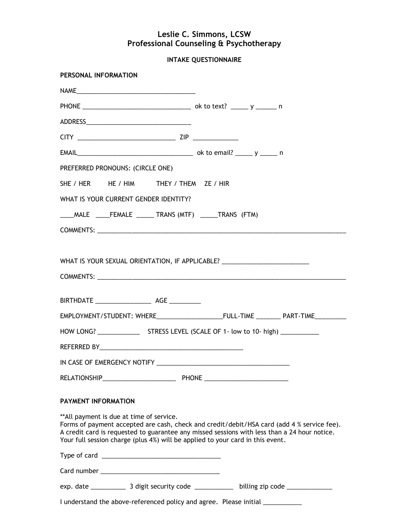## **Leslie C. Simmons, LCSW Professional Counseling & Psychotherapy**

**INTAKE QUESTIONNAIRE** 

| PERSONAL INFORMATION                                                                                                        |                                                                                                                                                                                            |
|-----------------------------------------------------------------------------------------------------------------------------|--------------------------------------------------------------------------------------------------------------------------------------------------------------------------------------------|
|                                                                                                                             |                                                                                                                                                                                            |
|                                                                                                                             |                                                                                                                                                                                            |
|                                                                                                                             |                                                                                                                                                                                            |
|                                                                                                                             |                                                                                                                                                                                            |
|                                                                                                                             |                                                                                                                                                                                            |
| PREFERRED PRONOUNS: (CIRCLE ONE)                                                                                            |                                                                                                                                                                                            |
| SHE / HER HE / HIM THEY / THEM ZE / HIR                                                                                     |                                                                                                                                                                                            |
| WHAT IS YOUR CURRENT GENDER IDENTITY?                                                                                       |                                                                                                                                                                                            |
| ____MALE _____FEMALE ______ TRANS (MTF) ______TRANS (FTM)                                                                   |                                                                                                                                                                                            |
|                                                                                                                             |                                                                                                                                                                                            |
|                                                                                                                             |                                                                                                                                                                                            |
| WHAT IS YOUR SEXUAL ORIENTATION, IF APPLICABLE? ________________________________                                            |                                                                                                                                                                                            |
|                                                                                                                             |                                                                                                                                                                                            |
|                                                                                                                             |                                                                                                                                                                                            |
|                                                                                                                             |                                                                                                                                                                                            |
|                                                                                                                             |                                                                                                                                                                                            |
|                                                                                                                             |                                                                                                                                                                                            |
|                                                                                                                             |                                                                                                                                                                                            |
|                                                                                                                             |                                                                                                                                                                                            |
| <b>PAYMENT INFORMATION</b>                                                                                                  |                                                                                                                                                                                            |
| ** All payment is due at time of service.<br>Your full session charge (plus 4%) will be applied to your card in this event. | Forms of payment accepted are cash, check and credit/debit/HSA card (add 4 % service fee).<br>A credit card is requested to guarantee any missed sessions with less than a 24 hour notice. |
|                                                                                                                             |                                                                                                                                                                                            |
|                                                                                                                             |                                                                                                                                                                                            |
|                                                                                                                             |                                                                                                                                                                                            |
| I understand the above-referenced policy and agree. Please initial ___________                                              |                                                                                                                                                                                            |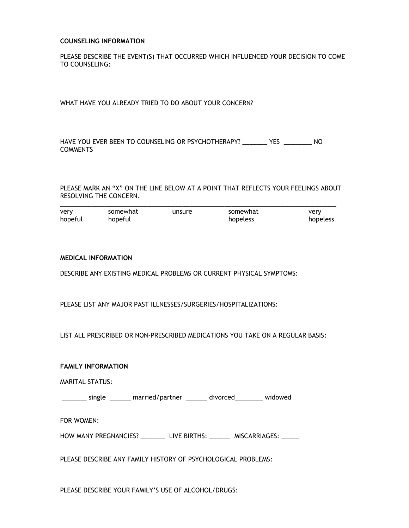### **COUNSELING INFORMATION**

PLEASE DESCRIBE THE EVENT(S) THAT OCCURRED WHICH INFLUENCED YOUR DECISION TO COME TO COUNSELING:

WHAT HAVE YOU ALREADY TRIED TO DO ABOUT YOUR CONCERN?

HAVE YOU EVER BEEN TO COUNSELING OR PSYCHOTHERAPY? \_\_\_\_\_\_\_ YES \_\_\_\_\_\_\_\_ NO **COMMENTS** 

PLEASE MARK AN "X" ON THE LINE BELOW AT A POINT THAT REFLECTS YOUR FEELINGS ABOUT RESOLVING THE CONCERN.

| very    | somewhat | unsure | somewhat | verv     |
|---------|----------|--------|----------|----------|
| hopeful | hopeful  |        | hopeless | hopeless |

### **MEDICAL INFORMATION**

DESCRIBE ANY EXISTING MEDICAL PROBLEMS OR CURRENT PHYSICAL SYMPTOMS:

PLEASE LIST ANY MAJOR PAST ILLNESSES/SURGERIES/HOSPITALIZATIONS:

LIST ALL PRESCRIBED OR NON-PRESCRIBED MEDICATIONS YOU TAKE ON A REGULAR BASIS:

### **FAMILY INFORMATION**

MARITAL STATUS:

\_\_\_\_\_\_\_ single \_\_\_\_\_\_ married/partner \_\_\_\_\_\_ divorced\_\_\_\_\_\_\_\_ widowed

FOR WOMEN:

HOW MANY PREGNANCIES? \_\_\_\_\_\_\_\_\_ LIVE BIRTHS: \_\_\_\_\_\_\_ MISCARRIAGES: \_\_\_\_\_

PLEASE DESCRIBE ANY FAMILY HISTORY OF PSYCHOLOGICAL PROBLEMS:

PLEASE DESCRIBE YOUR FAMILY'S USE OF ALCOHOL/DRUGS: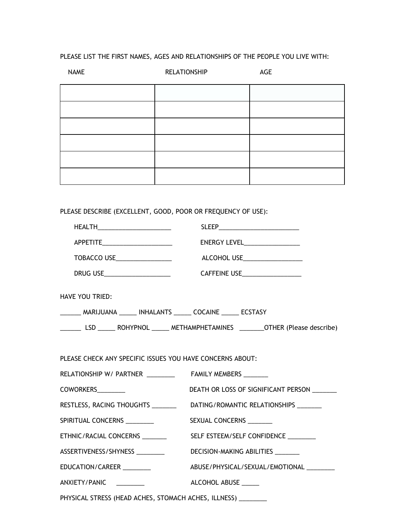# PLEASE LIST THE FIRST NAMES, AGES AND RELATIONSHIPS OF THE PEOPLE YOU LIVE WITH:

| <b>NAME</b> | <b>RELATIONSHIP</b> | AGE |  |
|-------------|---------------------|-----|--|
|             |                     |     |  |
|             |                     |     |  |
|             |                     |     |  |
|             |                     |     |  |
|             |                     |     |  |
|             |                     |     |  |

PLEASE DESCRIBE (EXCELLENT, GOOD, POOR OR FREQUENCY OF USE):

| HEALTH_________________________                                  |                                                                                  |  |  |
|------------------------------------------------------------------|----------------------------------------------------------------------------------|--|--|
| APPETITE_______________________                                  | ENERGY LEVEL____________________                                                 |  |  |
| TOBACCO USE__________________                                    | ALCOHOL USE____________________                                                  |  |  |
|                                                                  | CAFFEINE USE_____________________                                                |  |  |
| <b>HAVE YOU TRIED:</b>                                           |                                                                                  |  |  |
| _______ MARIJUANA ______ INHALANTS ______ COCAINE ______ ECSTASY |                                                                                  |  |  |
|                                                                  |                                                                                  |  |  |
|                                                                  |                                                                                  |  |  |
| PLEASE CHECK ANY SPECIFIC ISSUES YOU HAVE CONCERNS ABOUT:        |                                                                                  |  |  |
|                                                                  |                                                                                  |  |  |
| COWORKERS_________                                               | DEATH OR LOSS OF SIGNIFICANT PERSON ________                                     |  |  |
|                                                                  | RESTLESS, RACING THOUGHTS ________________DATING/ROMANTIC RELATIONSHIPS ________ |  |  |
| SPIRITUAL CONCERNS ________                                      | SEXUAL CONCERNS _______                                                          |  |  |
| ETHNIC/RACIAL CONCERNS                                           | SELF ESTEEM/SELF CONFIDENCE ________                                             |  |  |
| ASSERTIVENESS/SHYNESS                                            | DECISION-MAKING ABILITIES _______                                                |  |  |
| EDUCATION/CAREER                                                 | ABUSE/PHYSICAL/SEXUAL/EMOTIONAL                                                  |  |  |
| ANXIETY/PANIC ________                                           | ALCOHOL ABUSE ______                                                             |  |  |
| PHYSICAL STRESS (HEAD ACHES, STOMACH ACHES, ILLNESS) _________   |                                                                                  |  |  |